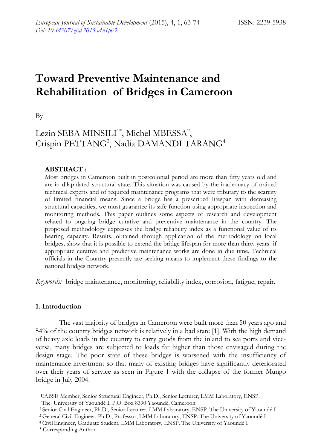# **Toward Preventive Maintenance and Rehabilitation of Bridges in Cameroon**

By

# Lezin SEBA MINSILI<sup>1\*</sup>, Michel MBESSA<sup>2</sup>, Crispin PETTANG<sup>3</sup>, Nadia DAMANDI TARANG<sup>4</sup>

# **ABSTRACT :**

Most bridges in Cameroon built in postcolonial period are more than fifty years old and are in dilapidated structural state. This situation was caused by the inadequacy of trained technical experts and of required maintenance programs that were tributary to the scarcity of limited financial means. Since a bridge has a prescribed lifespan with decreasing structural capacities, we must guarantee its safe function using appropriate inspection and monitoring methods. This paper outlines some aspects of research and development related to ongoing bridge curative and preventive maintenance in the country. The proposed methodology expresses the bridge reliability index as a functional value of its bearing capacity. Results, obtained through application of the methodology on local bridges, show that it is possible to extend the bridge lifespan for more than thirty years if appropriate curative and predictive maintenance works are done in due time. Technical officials in the Country presently are seeking means to implement these findings to the national bridges network.

*Keywords:* bridge maintenance, monitoring, reliability index, corrosion, fatigue, repair.

## **1. Introduction**

The vast majority of bridges in Cameroon were built more than 50 years ago and 54% of the country bridges network is relatively in a bad state [1]. With the high demand of heavy axle loads in the country to carry goods from the inland to sea ports and viceversa, many bridges are subjected to loads far higher than those envisaged during the design stage. The poor state of these bridges is worsened with the insufficiency of maintenance investment so that many of existing bridges have significantly deteriorated over their years of service as seen in Figure 1 with the collapse of the former Mungo bridge in July 2004.

<sup>|</sup> **1**IABSE Member, Senior Structural Engineer, Ph.D., Senior Lecturer, LMM Laboratory, ENSP.

The University of Yaoundé I, P.O. Box 8390 Yaoundé, Cameroon

 **<sup>2</sup>** Senior Civil Engineer, Ph.D., Senior Lecturer, LMM Laboratory, ENSP. The University of Yaoundé I

**<sup>3</sup>** General Civil Engineer, Ph.D., Professor, LMM Laboratory, ENSP. The University of Yaoundé I **<sup>4</sup>**Civil Engineer, Graduate Student, LMM Laboratory, ENSP. The University of Yaoundé I

**<sup>\*</sup>** Corresponding Author.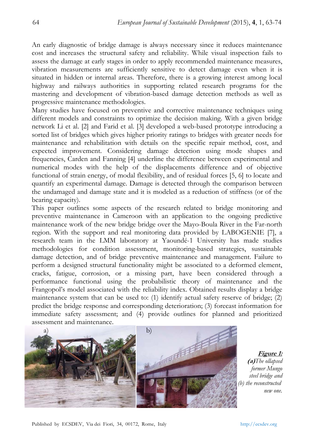An early diagnostic of bridge damage is always necessary since it reduces maintenance cost and increases the structural safety and reliability. While visual inspection fails to assess the damage at early stages in order to apply recommended maintenance measures, vibration measurements are sufficiently sensitive to detect damage even when it is situated in hidden or internal areas. Therefore, there is a growing interest among local highway and railways authorities in supporting related research programs for the mastering and development of vibration-based damage detection methods as well as progressive maintenance methodologies.

Many studies have focused on preventive and corrective maintenance techniques using different models and constraints to optimize the decision making. With a given bridge network Li et al. [2] and Farid et al. [3] developed a web-based prototype introducing a sorted list of bridges which gives higher priority ratings to bridges with greater needs for maintenance and rehabilitation with details on the specific repair method, cost, and expected improvement. Considering damage detection using mode shapes and frequencies, Carden and Fanning [4] underline the difference between experimental and numerical modes with the help of the displacements difference and of objective functional of strain energy, of modal flexibility, and of residual forces [5, 6] to locate and quantify an experimental damage. Damage is detected through the comparison between the undamaged and damage state and it is modeled as a reduction of stiffness (or of the bearing capacity).

This paper outlines some aspects of the research related to bridge monitoring and preventive maintenance in Cameroon with an application to the ongoing predictive maintenance work of the new bridge bridge over the Mayo-Boula River in the Far-north region. With the support and real monitoring data provided by LABOGENIE [7], a research team in the LMM laboratory at Yaoundé-1 University has made studies methodologies for condition assessment, monitoring-based strategies, sustainable damage detection, and of bridge preventive maintenance and management. Failure to perform a designed structural functionality might be associated to a deformed element, cracks, fatigue, corrosion, or a missing part, have been considered through a performance functional using the probabilistic theory of maintenance and the Frangopol's model associated with the reliability index. Obtained results display a bridge maintenance system that can be used to: (1) identify actual safety reserve of bridge; (2) predict the bridge response and corresponding deterioration; (3) forecast information for immediate safety assessment; and (4) provide outlines for planned and prioritized assessment and maintenance.



**Figure 1: (a)***The ollapsed former Mungo steel bridge and (b) the reconstructed new one.*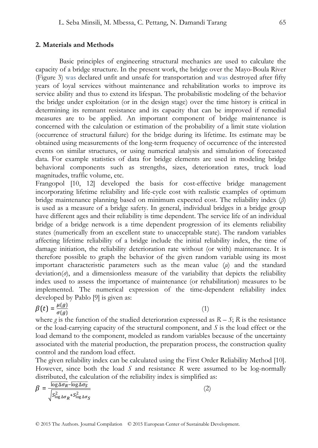#### **2. Materials and Methods**

Basic principles of engineering structural mechanics are used to calculate the capacity of a bridge structure. In the present work, the bridge over the Mayo-Boula River (Figure 3) was declared unfit and unsafe for transportation and was destroyed after fifty years of loyal services without maintenance and rehabilitation works to improve its service ability and thus to extend its lifespan. The probabilistic modeling of the behavior the bridge under exploitation (or in the design stage) over the time history is critical in determining its remnant resistance and its capacity that can be improved if remedial measures are to be applied. An important component of bridge maintenance is concerned with the calculation or estimation of the probability of a limit state violation (occurrence of structural failure) for the bridge during its lifetime. Its estimate may be obtained using measurements of the long-term frequency of occurrence of the interested events on similar structures, or using numerical analysis and simulation of forecasted data. For example statistics of data for bridge elements are used in modeling bridge behavioral components such as strengths, sizes, deterioration rates, truck load magnitudes, traffic volume, etc.

Frangopol [10, 12] developed the basis for cost-effective bridge management incorporating lifetime reliability and life-cycle cost with realistic examples of optimum bridge maintenance planning based on minimum expected cost. The reliability index (*β*) is used as a measure of a bridge safety. In general, individual bridges in a bridge group have different ages and their reliability is time dependent. The service life of an individual bridge of a bridge network is a time dependent progression of its elements reliability states (numerically from an excellent state to unacceptable state). The random variables affecting lifetime reliability of a bridge include the initial reliability index, the time of damage initiation, the reliability deterioration rate without (or with) maintenance. It is therefore possible to graph the behavior of the given random variable using its most important characteristic parameters such as the mean value (*μ*) and the standard deviation(*σ*), and a dimensionless measure of the variability that depicts the reliability index used to assess the importance of maintenance (or rehabilitation) measures to be implemented. The numerical expression of the time-dependent reliability index developed by Pablo [9] is given as:

$$
\beta(t) = \frac{\mu(g)}{\sigma(g)}\tag{1}
$$

where  $g$  is the function of the studied deterioration expressed as  $R - S$ ;  $R$  is the resistance or the load-carrying capacity of the structural component, and *S* is the load effect or the load demand to the component, modeled as random variables because of the uncertainty associated with the material production, the preparation process, the construction quality control and the random load effect.

The given reliability index can be calculated using the First Order Reliability Method [10]. However, since both the load *S* and resistance *R* were assumed to be log-normally distributed, the calculation of the reliability index is simplified as:

$$
\beta = \frac{\overline{\log \Delta \sigma_R} - \overline{\log \Delta \sigma_S}}{\sqrt{S_{\log \Delta \sigma_R}^2 + S_{\log \Delta \sigma_S}^2}}
$$
(2)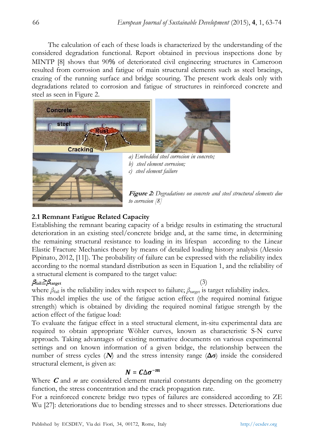The calculation of each of these loads is characterized by the understanding of the considered degradation functional. Report obtained in previous inspections done by MINTP [8] shows that 90% of deteriorated civil engineering structures in Cameroon resulted from corrosion and fatigue of main structural elements such as steel bracings, crazing of the running surface and bridge scouring. The present work deals only with degradations related to corrosion and fatigue of structures in reinforced concrete and steel as seen in Figure 2.





 *a) Embedded steel corrosion in concrete; b) steel element corrosion; c) steel element failure* 

#### **Figure 2:** *Degradations on concrete and steel structural elements due to corrosion [8]*

# **2.1 Remnant Fatigue Related Capacity**

Establishing the remnant bearing capacity of a bridge results in estimating the structural deterioration in an existing steel/concrete bridge and, at the same time, in determining the remaining structural resistance to loading in its lifespan according to the Linear Elastic Fracture Mechanics theory by means of detailed loading history analysis (Alessio Pipinato, 2012, [11]). The probability of failure can be expressed with the reliability index according to the normal standard distribution as seen in Equation 1, and the reliability of a structural element is compared to the target value:

# $\beta_{\text{fail}} \geq \beta_{\text{target}}$  (3)

where  $\beta_{\text{fail}}$  is the reliability index with respect to failure;  $\beta_{\text{target}}$  is target reliability index.

This model implies the use of the fatigue action effect (the required nominal fatigue strength) which is obtained by dividing the required nominal fatigue strength by the action effect of the fatigue load:

To evaluate the fatigue effect in a steel structural element, in-situ experimental data are required to obtain appropriate Wöhler curves, known as characteristic S-N curve approach. Taking advantages of existing normative documents on various experimental settings and on known information of a given bridge, the relationship between the number of stress cycles ( $N$ ) and the stress intensity range ( $\Delta \sigma$ ) inside the considered structural element, is given as:

# $N = C \Delta \sigma^{-m}$

Where **C** and *m* are considered element material constants depending on the geometry function, the stress concentration and the crack propagation rate.

For a reinforced concrete bridge two types of failures are considered according to ZE Wu [27]: deteriorations due to bending stresses and to sheer stresses. Deteriorations due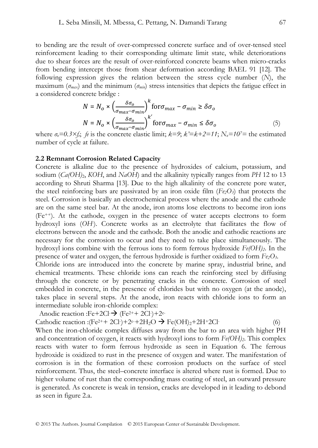to bending are the result of over-compressed concrete surface and of over-tensed steel reinforcement leading to their corresponding ultimate limit state, while deteriorations due to shear forces are the result of over-reinforced concrete beams when micro-cracks from bending intercept those from shear deformation according BAEL 91 [12]. The following expression gives the relation between the stress cycle number (*N*), the maximum ( $\sigma_{max}$ ) and the minimum ( $\sigma_{min}$ ) stress intensities that depicts the fatigue effect in a considered concrete bridge :

$$
N = N_o \times \left(\frac{\delta \sigma_o}{\sigma_{max} - \sigma_{min}}\right)^k \text{for } \sigma_{max} - \sigma_{min} \ge \delta \sigma_o
$$
  

$$
N = N_o \times \left(\frac{\delta \sigma_o}{\sigma_{max} - \sigma_{min}}\right)^{k'} \text{for } \sigma_{max} - \sigma_{min} \le \delta \sigma_o
$$
 (5)

where  $\sigma_{\theta} = 0.3 \times f_{\theta}$ ; *fe* is the concrete elastic limit;  $k=9$ ;  $k'=k+2=11$ ;  $N_{\theta}=10^{7}$  = the estimated number of cycle at failure.

#### **2.2 Remnant Corrosion Related Capacity**

Concrete is alkaline due to the presence of hydroxides of calcium, potassium, and sodium  $(Ca(OH)_2, KOH, and NaOH)$  and the alkalinity typically ranges from PH 12 to 13 according to Shruti Sharma [13]. Due to the high alkalinity of the concrete pore water, the steel reinforcing bars are passivated by an iron oxide film  $(F_{e2}O_3)$  that protects the steel. Corrosion is basically an electrochemical process where the anode and the cathode are on the same steel bar. At the anode, iron atoms lose electrons to become iron ions (Fe++). At the cathode, oxygen in the presence of water accepts electrons to form hydroxyl ions (*OH-* ). Concrete works as an electrolyte that facilitates the flow of electrons between the anode and the cathode. Both the anodic and cathodic reactions are necessary for the corrosion to occur and they need to take place simultaneously. The hydroxyl ions combine with the ferrous ions to form ferrous hydroxide *Fe(OH)2*. In the presence of water and oxygen, the ferrous hydroxide is further oxidized to form *Fe2O3*.

Chloride ions are introduced into the concrete by marine spray, industrial brine, and chemical treatments. These chloride ions can reach the reinforcing steel by diffusing through the concrete or by penetrating cracks in the concrete. Corrosion of steel embedded in concrete, in the presence of chlorides but with no oxygen (at the anode), takes place in several steps. At the anode, iron reacts with chloride ions to form an intermediate soluble iron-chloride complex:

Anodic reaction :Fe+2Cl- $\rightarrow$  (Fe<sup>2++</sup> 2Cl-)+2<sup>e-</sup>

Cathodic reaction :(Fe<sup>2++</sup> 2Cl-)+2e-+2H<sub>2</sub>O  $\rightarrow$  Fe(OH)<sub>2</sub>+2H+2Cl-

When the iron-chloride complex diffuses away from the bar to an area with higher PH and concentration of oxygen, it reacts with hydroxyl ions to form  $Fe(OH)_2$ . This complex reacts with water to form ferrous hydroxide as seen in Equation 6. The ferrous hydroxide is oxidized to rust in the presence of oxygen and water. The manifestation of corrosion is in the formation of these corrosion products on the surface of steel reinforcement. Thus, the steel–concrete interface is altered where rust is formed. Due to higher volume of rust than the corresponding mass coating of steel, an outward pressure is generated. As concrete is weak in tension, cracks are developed in it leading to debond as seen in figure 2.a.

(6)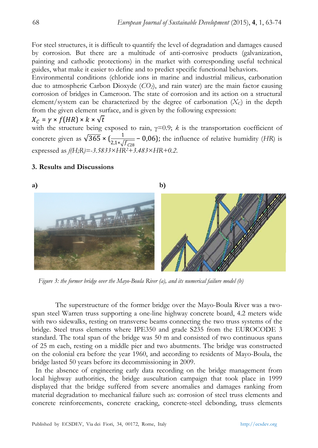For steel structures, it is difficult to quantify the level of degradation and damages caused by corrosion. But there are a multitude of anti-corrosive products (galvanization, painting and cathodic protections) in the market with corresponding useful technical guides, what make it easier to define and to predict specific functional behaviors.

Environmental conditions (chloride ions in marine and industrial milieus, carbonation due to atmospheric Carbon Dioxyde (*CO2*), and rain water) are the main factor causing corrosion of bridges in Cameroon. The state of corrosion and its action on a structural element/system can be characterized by the degree of carbonation (*XC*) in the depth from the given element surface, and is given by the following expression:

$$
X_C = \gamma \times f(HR) \times k \times \sqrt{t}
$$

with the structure being exposed to rain,  $\gamma=0.9$ ; *k* is the transportation coefficient of concrete given as  $\sqrt{365} \times (\frac{1}{2.1 \times \sqrt{f_{C28}}} - 0.06)$ ; the influence of relative humidity (*HR*) is expressed as *f(H;R)=-3.5833×HR2+3.483×HR+0.2*.

### **3. Results and Discussions**

# **a) b)**

 *Figure 3: the former bridge over the Mayo-Boula River (a), and its numerical failure model (b)*

The superstructure of the former bridge over the Mayo-Boula River was a twospan steel Warren truss supporting a one-line highway concrete board, 4.2 meters wide with two sidewalks, resting on transverse beams connecting the two truss systems of the bridge. Steel truss elements where IPE350 and grade S235 from the EUROCODE 3 standard. The total span of the bridge was 50 m and consisted of two continuous spans of 25 m each, resting on a middle pier and two abutments. The bridge was constructed on the colonial era before the year 1960, and according to residents of Mayo-Boula, the bridge lasted 50 years before its decommissioning in 2009.

 In the absence of engineering early data recording on the bridge management from local highway authorities, the bridge auscultation campaign that took place in 1999 displayed that the bridge suffered from severe anomalies and damages ranking from material degradation to mechanical failure such as: corrosion of steel truss elements and concrete reinforcements, concrete cracking, concrete-steel debonding, truss elements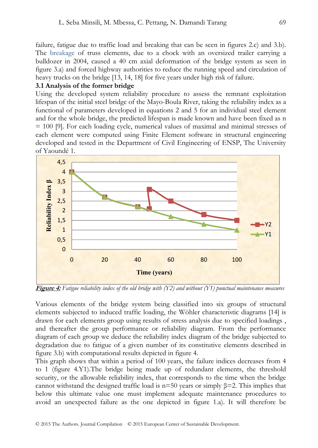failure, fatigue due to traffic load and breaking that can be seen in figures 2.c) and 3.b). The breakage of truss elements, due to a chock with an oversized trailer carrying a bulldozer in 2004, caused a 40 cm axial deformation of the bridge system as seen in figure 3.a) and forced highway authorities to reduce the running speed and circulation of heavy trucks on the bridge [13, 14, 18] for five years under high risk of failure.

## **3.1 Analysis of the former bridge**

Using the developed system reliability procedure to assess the remnant exploitation lifespan of the initial steel bridge of the Mayo-Boula River, taking the reliability index as a functional of parameters developed in equations 2 and 5 for an individual steel element and for the whole bridge, the predicted lifespan is made known and have been fixed as n = 100 [9]. For each loading cycle, numerical values of maximal and minimal stresses of each element were computed using Finite Element software in structural engineering developed and tested in the Department of Civil Engineering of ENSP, The University of Yaoundé 1.



**Figure 4:** *Fatigue reliability index of the old bridge with (Y2) and without (Y1) punctual maintenance measures* 

Various elements of the bridge system being classified into six groups of structural elements subjected to induced traffic loading, the Wöhler characteristic diagrams [14] is drawn for each elements group using results of stress analysis due to specified loadings , and thereafter the group performance or reliability diagram. From the performance diagram of each group we deduce the reliability index diagram of the bridge subjected to degradation due to fatigue of a given number of its constitutive elements described in figure 3.b) with computational results depicted in figure 4.

This graph shows that within a period of 100 years, the failure indices decreases from 4 to 1 (figure 4.Y1).The bridge being made up of redundant elements, the threshold security, or the allowable reliability index, that corresponds to the time when the bridge cannot withstand the designed traffic load is  $n=50$  years or simply  $\beta=2$ . This implies that below this ultimate value one must implement adequate maintenance procedures to avoid an unexpected failure as the one depicted in figure 1.a). It will therefore be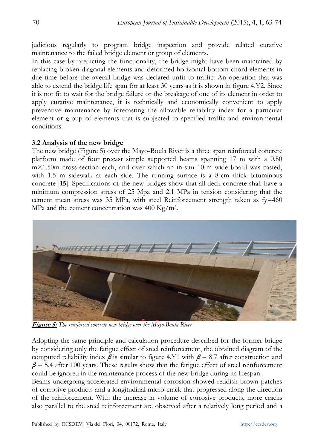judicious regularly to program bridge inspection and provide related curative maintenance to the failed bridge element or group of elements.

In this case by predicting the functionality, the bridge might have been maintained by replacing broken diagonal elements and deformed horizontal bottom chord elements in due time before the overall bridge was declared unfit to traffic. An operation that was able to extend the bridge life span for at least 30 years as it is shown in figure 4.Y2. Since it is not fit to wait for the bridge failure or the breakage of one of its element in order to apply curative maintenance, it is technically and economically convenient to apply preventive maintenance by forecasting the allowable reliability index for a particular element or group of elements that is subjected to specified traffic and environmental conditions.

#### **3.2 Analysis of the new bridge**

The new bridge (Figure 5) over the Mayo-Boula River is a three span reinforced concrete platform made of four precast simple supported beams spanning 17 m with a 0.80 m×1.50m cross-section each, and over which an in-situ 10-m wide board was casted, with 1.5 m sidewalk at each side. The running surface is a 8-cm thick bituminous concrete [**15**]. Specifications of the new bridges show that all deck concrete shall have a minimum compression stress of 25 Mpa and 2.1 MPa in tension considering that the cement mean stress was 35 MPa, with steel Reinforcement strength taken as  $fy=460$ MPa and the cement concentration was  $400 \text{ Kg/m}^3$ .



**Figure 5:** *The reinforced concrete new bridge over the Mayo-Boula River* 

Adopting the same principle and calculation procedure described for the former bridge by considering only the fatigue effect of steel reinforcement, the obtained diagram of the computed reliability index  $\beta$  is similar to figure 4.Y1 with  $\beta$  = 8.7 after construction and  $\beta$  = 5.4 after 100 years. These results show that the fatigue effect of steel reinforcement could be ignored in the maintenance process of the new bridge during its lifespan.

Beams undergoing accelerated environmental corrosion showed reddish brown patches of corrosive products and a longitudinal micro-crack that progressed along the direction of the reinforcement. With the increase in volume of corrosive products, more cracks also parallel to the steel reinforcement are observed after a relatively long period and a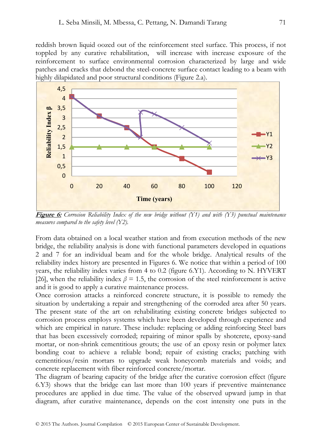reddish brown liquid oozed out of the reinforcement steel surface. This process, if not toppled by any curative rehabilitation, will increase with increase exposure of the reinforcement to surface environmental corrosion characterized by large and wide patches and cracks that debond the steel-concrete surface contact leading to a beam with highly dilapidated and poor structural conditions (Figure 2.a).



**Figure 6:** *Corrosion Reliability Index of the new bridge without (Y1) and with (Y3) punctual maintenance measures compared to the safety level (Y2).* 

From data obtained on a local weather station and from execution methods of the new bridge, the reliability analysis is done with functional parameters developed in equations 2 and 7 for an individual beam and for the whole bridge. Analytical results of the reliability index history are presented in Figures 6. We notice that within a period of 100 years, the reliability index varies from 4 to 0.2 (figure 6.Y1). According to N. HYVERT [26], when the reliability index  $\beta = 1.5$ , the corrosion of the steel reinforcement is active and it is good to apply a curative maintenance process.

Once corrosion attacks a reinforced concrete structure, it is possible to remedy the situation by undertaking a repair and strengthening of the corroded area after 50 years. The present state of the art on rehabilitating existing concrete bridges subjected to corrosion process employs systems which have been developed through experience and which are empirical in nature. These include: replacing or adding reinforcing Steel bars that has been excessively corroded; repairing of minor spalls by shotcrete, epoxy-sand mortar, or non-shrink cementitious grouts; the use of an epoxy resin or polymer latex bonding coat to achieve a reliable bond; repair of existing cracks; patching with cementitious/resin mortars to upgrade weak honeycomb materials and voids; and concrete replacement with fiber reinforced concrete/mortar.

The diagram of bearing capacity of the bridge after the curative corrosion effect (figure 6.Y3) shows that the bridge can last more than 100 years if preventive maintenance procedures are applied in due time. The value of the observed upward jump in that diagram, after curative maintenance, depends on the cost intensity one puts in the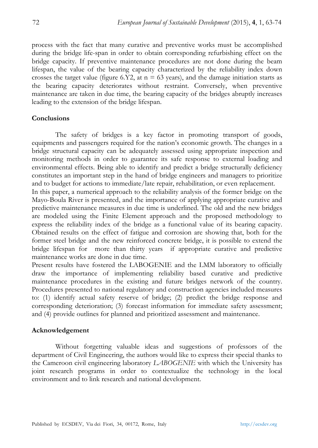process with the fact that many curative and preventive works must be accomplished during the bridge life-span in order to obtain corresponding refurbishing effect on the bridge capacity. If preventive maintenance procedures are not done during the beam lifespan, the value of the bearing capacity characterized by the reliability index down crosses the target value (figure 6.Y2, at  $n = 63$  years), and the damage initiation starts as the bearing capacity deteriorates without restraint. Conversely, when preventive maintenance are taken in due time, the bearing capacity of the bridges abruptly increases leading to the extension of the bridge lifespan.

#### **Conclusions**

The safety of bridges is a key factor in promoting transport of goods, equipments and passengers required for the nation's economic growth. The changes in a bridge structural capacity can be adequately assessed using appropriate inspection and monitoring methods in order to guarantee its safe response to external loading and environmental effects. Being able to identify and predict a bridge structurally deficiency constitutes an important step in the hand of bridge engineers and managers to prioritize and to budget for actions to immediate/late repair, rehabilitation, or even replacement.

In this paper, a numerical approach to the reliability analysis of the former bridge on the Mayo-Boula River is presented, and the importance of applying appropriate curative and predictive maintenance measures in due time is underlined. The old and the new bridges are modeled using the Finite Element approach and the proposed methodology to express the reliability index of the bridge as a functional value of its bearing capacity. Obtained results on the effect of fatigue and corrosion are showing that, both for the former steel bridge and the new reinforced concrete bridge, it is possible to extend the bridge lifespan for more than thirty years if appropriate curative and predictive maintenance works are done in due time.

Present results have fostered the LABOGENIE and the LMM laboratory to officially draw the importance of implementing reliability based curative and predictive maintenance procedures in the existing and future bridges network of the country. Procedures presented to national regulatory and construction agencies included measures to: (1) identify actual safety reserve of bridge; (2) predict the bridge response and corresponding deterioration; (3) forecast information for immediate safety assessment; and (4) provide outlines for planned and prioritized assessment and maintenance.

#### **Acknowledgement**

Without forgetting valuable ideas and suggestions of professors of the department of Civil Engineering, the authors would like to express their special thanks to the Cameroon civil engineering laboratory *LABOGENIE* with which the University has joint research programs in order to contextualize the technology in the local environment and to link research and national development.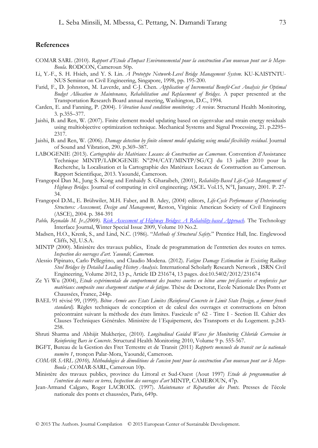#### **References**

- COMAR SARL (2010). *Rapport d'Etude d'Impact Environnemental pour la construction d'un nouveau pont sur le Mayo-Boula*. RODCON, Cameroun 50p.
- Li, Y.-F., S. H. Hsieh, and Y. S. Lin. *A Prototype Network-Level Bridge Management System*. KU-KAISTNTU-NUS Seminar on Civil Engineering, Singapore, 1998, pp. 195-200.
- Farid, F., D. Johnston, M. Laverde, and C-J. Chen. *Application of Incremental Benefit-Cost Analysis for Optimal Budget Allocation to Maintenance, Rehabilitation and Replacement of Bridges*. A paper presented at the Transportation Research Board annual meeting, Washington, D.C., 1994.
- Carden, E. and Fanning, P. (2004). *Vibration based condition monitoring: A review*. Structural Health Monitoring, 3. p.355–377.
- Jaishi, B. and Ren, W. (2007). Finite element model updating based on eigenvalue and strain energy residuals using multiobjective optimization technique. Mechanical Systems and Signal Processing, 21. p.2295– 2317.
- Jaishi, B. and Ren, W. (2006). *Damage detection by finite element model updating using modal flexibility residual*. Journal of Sound and Vibration, 290. p.369–387.
- LABOGENIE (2013). *Cartographie des Matériaux Locaux de Construction au Cameroun*. Convention d'Assistance Technique MINTP/LABOGENIE N°294/CAT/MINTP/SG/CJ du 13 juillet 2010 pour la Recherche, la Localisation et la Cartographie des Matériaux Locaux de Construction au Cameroun. Rapport Scientifique, 2013. Yaoundé, Cameroon.
- Frangopol Dan M., Jung S. Kong and Emhaidy S. Gharaibeh, (2001), *Reliability-Based Life-Cycle Management of Highway Bridges.* Journal of computing in civil engineering; ASCE**.** Vol.15, N°I, January, 2001. P. 27- 34.
- Frangopol D.M., E. Brühwiler, M.H. Faber, and B. Adey, (2004) editors, *Life-Cycle Performance of Deteriorating Structures: Assessment, Design and Management*, Reston, Virginia: American Society of Civil Engineers (ASCE), 2004. p. 384-391
- *Pablo, Reynaldo M. Jr.,(2009). Risk Assessment of Highway Bridges: A Reliability-based Approach*. The Technology Interface Journal, Winter Special Issue 2009, Volume 10 No.2.
- Madsen, H.O., Krenk, S., and Lind, N.C. (1986). "*Methods of Structural Safety*." Prentice Hall, Inc. Englewood Cliffs, NJ, U.S.A.
- MINTP (2000). Ministère des travaux publics, Etude de programmation de l'entretien des routes en terres*. Inspection des ouvrages d'art. Yaoundé, Cameroon.*
- Alessio Pipinato, Carlo Pellegrino, and Claudio Modena. (2012). *Fatigue Damage Estimation in Existing Railway Steel Bridges by Detailed Loading History Analysis*. International Scholarly Research Network , ISRN Civil Engineering, Volume 2012, 13 p., Article ID 231674, 13 pages. doi:10.5402/2012/231674
- Ze Yi Wu (2004), *Etude expérimentale du comportement des poutres courtes en béton arme pré-fissurées et renforcées par matériaux composite sous chargement statique et de fatigue.* Thèse de Doctorat, Ecole Nationale Des Ponts et Chaussées, France, 244p.
- BAEL 91 révisé 99, (1999). *Béton Armée aux Etats Limites (Reinforced Concrete in Limit State Design, a former french standard).* Règles techniques de conception et de calcul des ouvrages et constructions en béton précontraint suivant la méthode des états limites. Fascicule n° 62 - Titre I - Section II. Cahier des Clauses Techniques Générales. Ministère de l´Equipement, des Transports et du Logement. p.243- 258.
- Shruti Sharma and Abhijit Mukherjee, (2010). *Longitudinal Guided Waves for Monitoring Chloride Corrosion in Reinforcing Bars in Concrete*. Structural Health Monitoring 2010, Volume 9 p. 555-567.
- BGFT, Bureau de la Gestion des Fret Terrestre et de Transit (2011) *Rapports mensuels du transit sur la nationale numéro 1*, tronçon Palar-Mora, Yaoundé, Cameroon.
- *COMAR SARL (2010), Méthodologies de démolitions de l'ancien pont pour la construction d'un nouveau pont sur le Mayo-Boula ;* COMAR-SARL, Cameroun 10p.
- Ministère des travaux publics, province du Littoral et Sud-Ouest (Aout 1997) *Etude de programmation de l'entretien des routes en terres, Inspection des ouvrages d'art* MINTP, CAMEROUN, 47p.
- Jean-Armand Calgaro, Roger LACROIX. (1997). *Maintenance et Réparation des Ponts*. Presses de l'école nationale des ponts et chaussées, Paris, 649p.